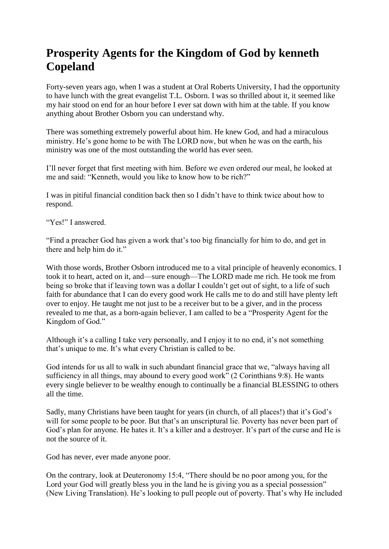## **Prosperity Agents for the Kingdom of God by kenneth Copeland**

Forty-seven years ago, when I was a student at Oral Roberts University, I had the opportunity to have lunch with the great evangelist T.L. Osborn. I was so thrilled about it, it seemed like my hair stood on end for an hour before I ever sat down with him at the table. If you know anything about Brother Osborn you can understand why.

There was something extremely powerful about him. He knew God, and had a miraculous ministry. He's gone home to be with The LORD now, but when he was on the earth, his ministry was one of the most outstanding the world has ever seen.

I'll never forget that first meeting with him. Before we even ordered our meal, he looked at me and said: "Kenneth, would you like to know how to be rich?"

I was in pitiful financial condition back then so I didn't have to think twice about how to respond.

"Yes!" I answered.

"Find a preacher God has given a work that's too big financially for him to do, and get in there and help him do it."

With those words, Brother Osborn introduced me to a vital principle of heavenly economics. I took it to heart, acted on it, and—sure enough—The LORD made me rich. He took me from being so broke that if leaving town was a dollar I couldn't get out of sight, to a life of such faith for abundance that I can do every good work He calls me to do and still have plenty left over to enjoy. He taught me not just to be a receiver but to be a giver, and in the process revealed to me that, as a born-again believer, I am called to be a "Prosperity Agent for the Kingdom of God."

Although it's a calling I take very personally, and I enjoy it to no end, it's not something that's unique to me. It's what every Christian is called to be.

God intends for us all to walk in such abundant financial grace that we, "always having all sufficiency in all things, may abound to every good work" (2 Corinthians 9:8). He wants every single believer to be wealthy enough to continually be a financial BLESSING to others all the time.

Sadly, many Christians have been taught for years (in church, of all places!) that it's God's will for some people to be poor. But that's an unscriptural lie. Poverty has never been part of God's plan for anyone. He hates it. It's a killer and a destroyer. It's part of the curse and He is not the source of it.

God has never, ever made anyone poor.

On the contrary, look at Deuteronomy 15:4, "There should be no poor among you, for the Lord your God will greatly bless you in the land he is giving you as a special possession" (New Living Translation). He's looking to pull people out of poverty. That's why He included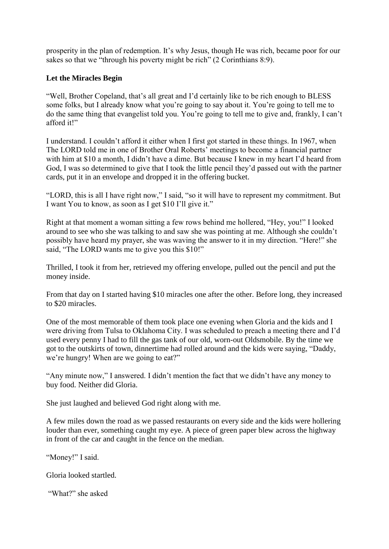prosperity in the plan of redemption. It's why Jesus, though He was rich, became poor for our sakes so that we "through his poverty might be rich" (2 Corinthians 8:9).

## **Let the Miracles Begin**

"Well, Brother Copeland, that's all great and I'd certainly like to be rich enough to BLESS some folks, but I already know what you're going to say about it. You're going to tell me to do the same thing that evangelist told you. You're going to tell me to give and, frankly, I can't afford it!"

I understand. I couldn't afford it either when I first got started in these things. In 1967, when The LORD told me in one of Brother Oral Roberts' meetings to become a financial partner with him at \$10 a month, I didn't have a dime. But because I knew in my heart I'd heard from God, I was so determined to give that I took the little pencil they'd passed out with the partner cards, put it in an envelope and dropped it in the offering bucket.

"LORD, this is all I have right now," I said, "so it will have to represent my commitment. But I want You to know, as soon as I get \$10 I'll give it."

Right at that moment a woman sitting a few rows behind me hollered, "Hey, you!" I looked around to see who she was talking to and saw she was pointing at me. Although she couldn't possibly have heard my prayer, she was waving the answer to it in my direction. "Here!" she said. "The LORD wants me to give you this \$10!"

Thrilled, I took it from her, retrieved my offering envelope, pulled out the pencil and put the money inside.

From that day on I started having \$10 miracles one after the other. Before long, they increased to \$20 miracles.

One of the most memorable of them took place one evening when Gloria and the kids and I were driving from Tulsa to Oklahoma City. I was scheduled to preach a meeting there and I'd used every penny I had to fill the gas tank of our old, worn-out Oldsmobile. By the time we got to the outskirts of town, dinnertime had rolled around and the kids were saying, "Daddy, we're hungry! When are we going to eat?"

"Any minute now," I answered. I didn't mention the fact that we didn't have any money to buy food. Neither did Gloria.

She just laughed and believed God right along with me.

A few miles down the road as we passed restaurants on every side and the kids were hollering louder than ever, something caught my eye. A piece of green paper blew across the highway in front of the car and caught in the fence on the median.

"Money!" I said.

Gloria looked startled.

"What?" she asked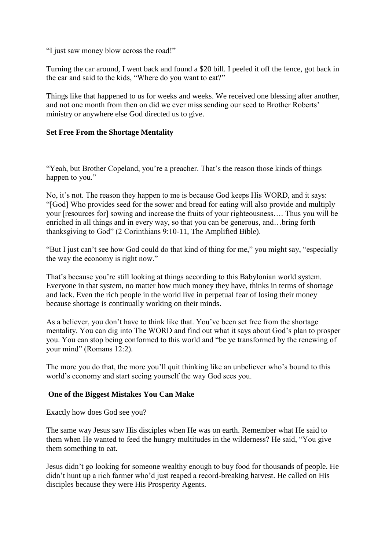"I just saw money blow across the road!"

Turning the car around, I went back and found a \$20 bill. I peeled it off the fence, got back in the car and said to the kids, "Where do you want to eat?"

Things like that happened to us for weeks and weeks. We received one blessing after another, and not one month from then on did we ever miss sending our seed to Brother Roberts' ministry or anywhere else God directed us to give.

## **Set Free From the Shortage Mentality**

"Yeah, but Brother Copeland, you're a preacher. That's the reason those kinds of things happen to you."

No, it's not. The reason they happen to me is because God keeps His WORD, and it says: "[God] Who provides seed for the sower and bread for eating will also provide and multiply your [resources for] sowing and increase the fruits of your righteousness…. Thus you will be enriched in all things and in every way, so that you can be generous, and…bring forth thanksgiving to God" (2 Corinthians 9:10-11, The Amplified Bible).

"But I just can't see how God could do that kind of thing for me," you might say, "especially the way the economy is right now."

That's because you're still looking at things according to this Babylonian world system. Everyone in that system, no matter how much money they have, thinks in terms of shortage and lack. Even the rich people in the world live in perpetual fear of losing their money because shortage is continually working on their minds.

As a believer, you don't have to think like that. You've been set free from the shortage mentality. You can dig into The WORD and find out what it says about God's plan to prosper you. You can stop being conformed to this world and "be ye transformed by the renewing of your mind" (Romans 12:2).

The more you do that, the more you'll quit thinking like an unbeliever who's bound to this world's economy and start seeing yourself the way God sees you.

## **One of the Biggest Mistakes You Can Make**

Exactly how does God see you?

The same way Jesus saw His disciples when He was on earth. Remember what He said to them when He wanted to feed the hungry multitudes in the wilderness? He said, "You give them something to eat.

Jesus didn't go looking for someone wealthy enough to buy food for thousands of people. He didn't hunt up a rich farmer who'd just reaped a record-breaking harvest. He called on His disciples because they were His Prosperity Agents.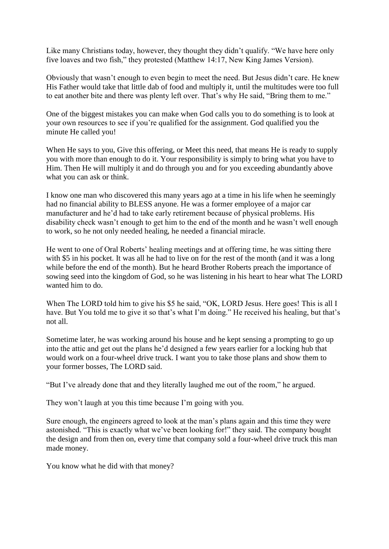Like many Christians today, however, they thought they didn't qualify. "We have here only five loaves and two fish," they protested (Matthew 14:17, New King James Version).

Obviously that wasn't enough to even begin to meet the need. But Jesus didn't care. He knew His Father would take that little dab of food and multiply it, until the multitudes were too full to eat another bite and there was plenty left over. That's why He said, "Bring them to me."

One of the biggest mistakes you can make when God calls you to do something is to look at your own resources to see if you're qualified for the assignment. God qualified you the minute He called you!

When He says to you, Give this offering, or Meet this need, that means He is ready to supply you with more than enough to do it. Your responsibility is simply to bring what you have to Him. Then He will multiply it and do through you and for you exceeding abundantly above what you can ask or think.

I know one man who discovered this many years ago at a time in his life when he seemingly had no financial ability to BLESS anyone. He was a former employee of a major car manufacturer and he'd had to take early retirement because of physical problems. His disability check wasn't enough to get him to the end of the month and he wasn't well enough to work, so he not only needed healing, he needed a financial miracle.

He went to one of Oral Roberts' healing meetings and at offering time, he was sitting there with \$5 in his pocket. It was all he had to live on for the rest of the month (and it was a long while before the end of the month). But he heard Brother Roberts preach the importance of sowing seed into the kingdom of God, so he was listening in his heart to hear what The LORD wanted him to do.

When The LORD told him to give his \$5 he said, "OK, LORD Jesus. Here goes! This is all I have. But You told me to give it so that's what I'm doing." He received his healing, but that's not all.

Sometime later, he was working around his house and he kept sensing a prompting to go up into the attic and get out the plans he'd designed a few years earlier for a locking hub that would work on a four-wheel drive truck. I want you to take those plans and show them to your former bosses, The LORD said.

"But I've already done that and they literally laughed me out of the room," he argued.

They won't laugh at you this time because I'm going with you.

Sure enough, the engineers agreed to look at the man's plans again and this time they were astonished. "This is exactly what we've been looking for!" they said. The company bought the design and from then on, every time that company sold a four-wheel drive truck this man made money.

You know what he did with that money?